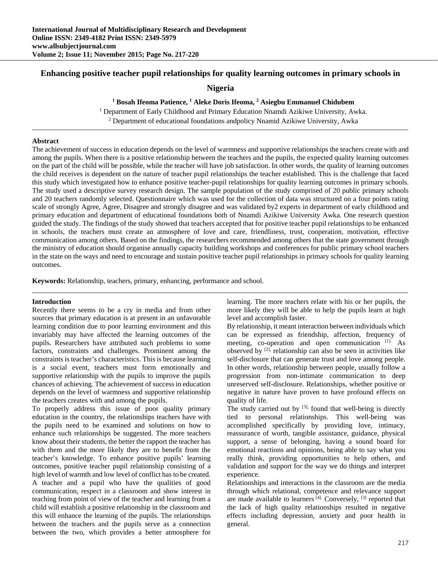# **Enhancing positive teacher pupil relationships for quality learning outcomes in primary schools in**

**Nigeria**

<sup>1</sup> Bosah Ifeoma Patience, <sup>1</sup> Aleke Doris Ifeoma, <sup>2</sup> Asiegbu Emmanuel Chidubem

<sup>1</sup> Department of Early Childhood and Primary Education Nnamdi Azikiwe University, Awka.<br><sup>2</sup> Department of educational foundations and policy Nnamid Azikiwe University, Awka

<sup>2</sup> Department of educational foundations andpolicy Nnamid Azikiwe University, Awka

#### **Abstract**

The achievement of success in education depends on the level of warmness and supportive relationships the teachers create with and among the pupils. When there is a positive relationship between the teachers and the pupils, the expected quality learning outcomes on the part of the child will be possible, while the teacher will have job satisfaction. In other words, the quality of learning outcomes the child receives is dependent on the nature of teacher pupil relationships the teacher established. This is the challenge that faced this study which investigated how to enhance positive teacher-pupil relationships for quality learning outcomes in primary schools. The study used a descriptive survey research design. The sample population of the study comprised of 20 public primary schools and 20 teachers randomly selected. Questionnaire which was used for the collection of data was structured on a four points rating scale of strongly Agree, Agree, Disagree and strongly disagree and was validated by2 experts in department of early childhood and primary education and department of educational foundations both of Nnamdi Azikiwe University Awka. One research question guided the study. The findings of the study showed that teachers accepted that for positive teacher pupil relationships to be enhanced in schools, the teachers must create an atmosphere of love and care, friendliness, trust, cooperation, motivation, effective communication among others. Based on the findings, the researchers recommended among others that the state government through the ministry of education should organise annually capacity building workshops and conferences for public primary school teachers in the state on the ways and need to encourage and sustain positive teacher pupil relationships in primary schools for quality learning outcomes.

**Keywords:** Relationship, teachers, primary, enhancing, performance and school.

# **Introduction**

Recently there seems to be a cry in media and from other sources that primary education is at present in an unfavorable learning condition due to poor learning environment and this invariably may have affected the learning outcomes of the pupils. Researchers have attributed such problems to some factors, constraints and challenges. Prominent among the constraints is teacher's characteristics. This is because learning is a social event, teachers must form emotionally and supportive relationship with the pupils to improve the pupils chances of achieving. The achievement of success in education depends on the level of warmness and supportive relationship the teachers creates with and among the pupils.

To properly address this issue of poor quality primary education in the country, the relationships teachers have with the pupils need to be examined and solutions on how to enhance such relationships be suggested. The more teachers know about their students, the better the rapport the teacher has with them and the more likely they are to benefit from the teacher's knowledge. To enhance positive pupils' learning outcomes, positive teacher pupil relationship consisting of a high level of warmth and low level of conflict has to be created. A teacher and a pupil who have the qualities of good communication, respect in a classroom and show interest in teaching from point of view of the teacher and learning from a child will establish a positive relationship in the classroom and this will enhance the learning of the pupils. The relationships between the teachers and the pupils serve as a connection between the two, which provides a better atmosphere for

learning. The more teachers relate with his or her pupils, the more likely they will be able to help the pupils learn at high level and accomplish faster.

By relationship, it meant interaction between individuals which can be expressed as friendship, affection, frequency of meeting, co-operation and open communication [1]. As observed by [2], relationship can also be seen in activities like self-disclosure that can generate trust and love among people. In other words, relationship between people, usually follow a progression from non-intimate communication to deep unreserved self-disclosure. Relationships, whether positive or negative in nature have proven to have profound effects on quality of life.

The study carried out by [3], found that well-being is directly tied to personal relationships. This well-being was accomplished specifically by providing love, intimacy, reassurance of worth, tangible assistance, guidance, physical support, a sense of belonging, having a sound board for emotional reactions and opinions, being able to say what you really think, providing opportunities to help others, and validation and support for the way we do things and interpret experience.

Relationships and interactions in the classroom are the media through which relational, competence and relevance support are made available to learners  $[4]$ . Conversely,  $[3]$  reported that the lack of high quality relationships resulted in negative effects including depression, anxiety and poor health in general.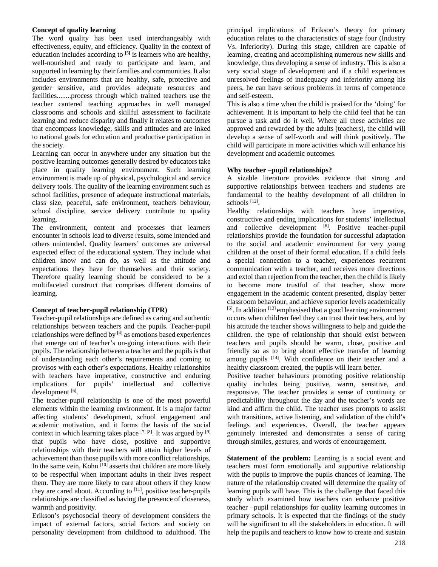### **Concept of quality learning**

The word quality has been used interchangeably with effectiveness, equity, and efficiency. Quality in the context of education includes according to **[**5**]** is learners who are healthy, well-nourished and ready to participate and learn, and supported in learning by their families and communities. It also includes environments that are healthy, safe, protective and gender sensitive, and provides adequate resources and facilities........process through which trained teachers use the teacher cantered teaching approaches in well managed classrooms and schools and skillful assessment to facilitate learning and reduce disparity and finally it relates to outcomes that encompass knowledge, skills and attitudes and are inked to national goals for education and productive participation in the society.

Learning can occur in anywhere under any situation but the positive learning outcomes generally desired by educators take place in quality learning environment. Such learning environment is made up of physical, psychological and service delivery tools. The quality of the learning environment such as school facilities, presence of adequate instructional materials, class size, peaceful, safe environment, teachers behaviour, school discipline, service delivery contribute to quality learning.

The environment, content and processes that learners encounter in schools lead to diverse results, some intended and others unintended. Quality learners' outcomes are universal expected effect of the educational system. They include what children know and can do, as well as the attitude and expectations they have for themselves and their society. Therefore quality learning should be considered to be a multifaceted construct that comprises different domains of learning.

# **Concept of teacher-pupil relationship (TPR)**

Teacher-pupil relationships are defined as caring and authentic relationships between teachers and the pupils. Teacher-pupil relationships were defined by **[**4] as emotions based experiences that emerge out of teacher's on-going interactions with their pupils. The relationship between a teacher and the pupils is that of understanding each other's requirements and coming to provisos with each other's expectations. Healthy relationships with teachers have imperative, constructive and enduring implications for pupils' intellectual and collective development [6].

The teacher-pupil relationship is one of the most powerful elements within the learning environment. It is a major factor affecting students' development, school engagement and academic motivation, and it forms the basis of the social context in which learning takes place  $[7, [8]$ . It was argued by  $[9]$ that pupils who have close, positive and supportive relationships with their teachers will attain higher levels of achievement than those pupils with more conflict relationships. In the same vein, Kohn  $\left[10\right]$  asserts that children are more likely to be respectful when important adults in their lives respect them. They are more likely to care about others if they know they are cared about. According to  $[11]$ , positive teacher-pupils relationships are classified as having the presence of closeness, warmth and positivity.

Erikson's psychosocial theory of development considers the impact of external factors, social factors and society on personality development from childhood to adulthood. The

principal implications of Erikson's theory for primary education relates to the characteristics of stage four (Industry Vs. Inferiority). During this stage, children are capable of learning, creating and accomplishing numerous new skills and knowledge, thus developing a sense of industry. This is also a very social stage of development and if a child experiences unresolved feelings of inadequacy and inferiority among his peers, he can have serious problems in terms of competence and self-esteem.

This is also a time when the child is praised for the 'doing' for achievement. It is important to help the child feel that he can pursue a task and do it well. Where all these activities are approved and rewarded by the adults (teachers), the child will develop a sense of self-worth and will think positively. The child will participate in more activities which will enhance his development and academic outcomes.

# **Why teacher –pupil relationships?**

A sizable literature provides evidence that strong and supportive relationships between teachers and students are fundamental to the healthy development of all children in schools [12].

Healthy relationships with teachers have imperative, constructive and ending implications for students' intellectual and collective development <sup>[6]</sup>. Positive teacher-pupil relationships provide the foundation for successful adaptation to the social and academic environment for very young children at the onset of their formal education. If a child feels a special connection to a teacher, experiences recurrent communication with a teacher, and receives more directions and extol than rejection from the teacher, then the child is likely to become more trustful of that teacher, show more engagement in the academic content presented, display better classroom behaviour, and achieve superior levels academically  $[6]$ . In addition  $[13]$  emphasised that a good learning environment occurs when children feel they can trust their teachers, and by his attitude the teacher shows willingness to help and guide the children. the type of relationship that should exist between teachers and pupils should be warm, close, positive and friendly so as to bring about effective transfer of learning among pupils <sup>[14]</sup>. With confidence on their teacher and a healthy classroom created, the pupils will learn better.

Positive teacher behaviours promoting positive relationship quality includes being positive, warm, sensitive, and responsive. The teacher provides a sense of continuity or predictability throughout the day and the teacher's words are kind and affirm the child. The teacher uses prompts to assist with transitions, active listening, and validation of the child's feelings and experiences. Overall, the teacher appears genuinely interested and demonstrates a sense of caring through similes, gestures, and words of encouragement.

**Statement of the problem:** Learning is a social event and teachers must form emotionally and supportive relationship with the pupils to improve the pupils chances of learning. The nature of the relationship created will determine the quality of learning pupils will have. This is the challenge that faced this study which examined how teachers can enhance positive teacher –pupil relationships for quality learning outcomes in primary schools. It is expected that the findings of the study will be significant to all the stakeholders in education. It will help the pupils and teachers to know how to create and sustain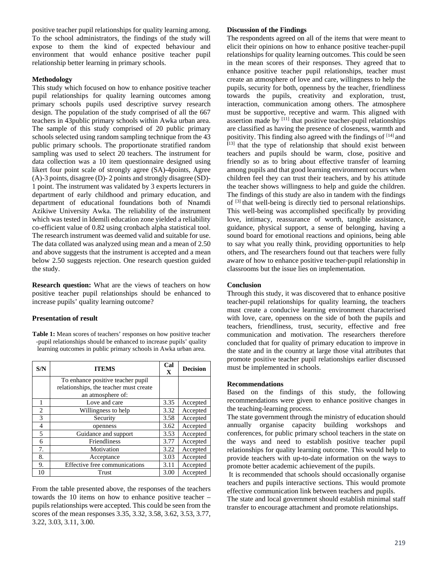positive teacher pupil relationships for quality learning among. To the school administrators, the findings of the study will expose to them the kind of expected behaviour and environment that would enhance positive teacher pupil relationship better learning in primary schools.

#### **Methodology**

This study which focused on how to enhance positive teacher pupil relationships for quality learning outcomes among primary schools pupils used descriptive survey research design. The population of the study comprised of all the 667 teachers in 43public primary schools within Awka urban area. The sample of this study comprised of 20 public primary schools selected using random sampling technique from the 43 public primary schools. The proportionate stratified random sampling was used to select 20 teachers. The instrument for data collection was a 10 item questionnaire designed using likert four point scale of strongly agree (SA)-4points, Agree (A)-3 points, disagree (D)- 2 points and strongly disagree (SD)- 1 point. The instrument was validated by 3 experts lecturers in department of early childhood and primary education, and department of educational foundations both of Nnamdi Azikiwe University Awka. The reliability of the instrument which was tested in Idemili education zone yielded a reliability co-efficient value of 0.82 using cronbach alpha statistical tool. The research instrument was deemed valid and suitable for use. The data collated was analyzed using mean and a mean of 2.50 and above suggests that the instrument is accepted and a mean below 2.50 suggests rejection. One research question guided the study.

**Research question:** What are the views of teachers on how positive teacher pupil relationships should be enhanced to increase pupils' quality learning outcome?

# **Presentation of result**

Table 1: Mean scores of teachers' responses on how positive teacher -pupil relationships should be enhanced to increase pupils' quality learning outcomes in public primary schools in Awka urban area.

| S/N            | <b>ITEMS</b>                           | Cal<br>$\mathbf{X}$ | <b>Decision</b> |
|----------------|----------------------------------------|---------------------|-----------------|
|                | To enhance positive teacher pupil      |                     |                 |
|                | relationships, the teacher must create |                     |                 |
|                | an atmosphere of:                      |                     |                 |
| 1              | Love and care                          | 3.35                | Accepted        |
| $\overline{c}$ | Willingness to help                    | 3.32                | Accepted        |
| 3              | Security                               | 3.58                | Accepted        |
| 4              | openness                               | 3.62                | Accepted        |
| $\overline{5}$ | Guidance and support                   | 3.53                | Accepted        |
| 6              | <b>Friendliness</b>                    | 3.77                | Accepted        |
| 7.             | Motivation                             | 3.22                | Accepted        |
| 8.             | Acceptance                             | 3.03                | Accepted        |
| 9.             | Effective free communications          | 3.11                | Accepted        |
| 10             | Trust                                  | 3.00                | Accepted        |

From the table presented above, the responses of the teachers towards the 10 items on how to enhance positive teacher – pupils relationships were accepted. This could be seen from the scores of the mean responses 3.35, 3.32, 3.58, 3.62, 3.53, 3.77, 3.22, 3.03, 3.11, 3.00.

### **Discussion of the Findings**

The respondents agreed on all of the items that were meant to elicit their opinions on how to enhance positive teacher-pupil relationships for quality learning outcomes. This could be seen in the mean scores of their responses. They agreed that to enhance positive teacher pupil relationships, teacher must create an atmosphere of love and care, willingness to help the pupils, security for both, openness by the teacher, friendliness towards the pupils, creativity and exploration, trust, interaction, communication among others. The atmosphere must be supportive, receptive and warm. This aligned with assertion made by [11] that positive teacher-pupil relationships are classified as having the presence of closeness, warmth and positivity. This finding also agreed with the findings of [14] and **[**13] that the type of relationship that should exist between teachers and pupils should be warm, close, positive and friendly so as to bring about effective transfer of learning among pupils and that good learning environment occurs when children feel they can trust their teachers, and by his attitude the teacher shows willingness to help and guide the children. The findings of this study are also in tandem with the findings of [3] that well-being is directly tied to personal relationships. This well-being was accomplished specifically by providing love, intimacy, reassurance of worth, tangible assistance, guidance, physical support, a sense of belonging, having a sound board for emotional reactions and opinions, being able to say what you really think, providing opportunities to help others, and The researchers found out that teachers were fully aware of how to enhance positive teacher-pupil relationship in classrooms but the issue lies on implementation.

# **Conclusion**

Through this study, it was discovered that to enhance positive teacher-pupil relationships for quality learning, the teachers must create a conducive learning environment characterised with love, care, openness on the side of both the pupils and teachers, friendliness, trust, security, effective and free communication and motivation. The researchers therefore concluded that for quality of primary education to improve in the state and in the country at large those vital attributes that promote positive teacher pupil relationships earlier discussed must be implemented in schools.

#### **Recommendations**

Based on the findings of this study, the following recommendations were given to enhance positive changes in the teaching-learning process.

The state government through the ministry of education should annually organise capacity building workshops and conferences, for public primary school teachers in the state on the ways and need to establish positive teacher pupil relationships for quality learning outcome. This would help to provide teachers with up-to-date information on the ways to promote better academic achievement of the pupils.

 It is recommended that schools should occasionally organise teachers and pupils interactive sections. This would promote effective communication link between teachers and pupils.

The state and local government should establish minimal staff transfer to encourage attachment and promote relationships.